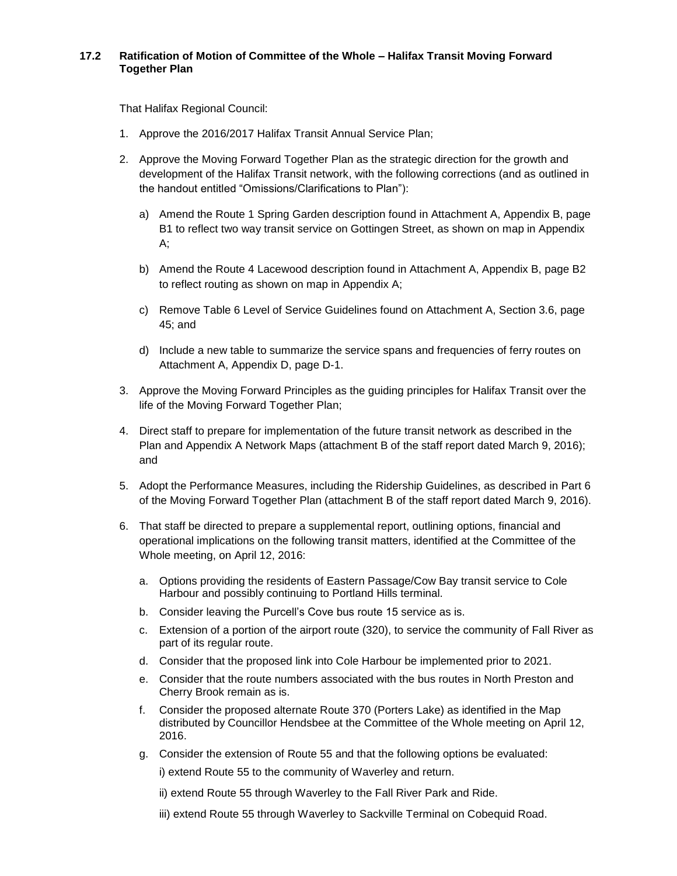## **17.2 Ratification of Motion of Committee of the Whole – Halifax Transit Moving Forward Together Plan**

That Halifax Regional Council:

- 1. Approve the 2016/2017 Halifax Transit Annual Service Plan;
- 2. Approve the Moving Forward Together Plan as the strategic direction for the growth and development of the Halifax Transit network, with the following corrections (and as outlined in the handout entitled "Omissions/Clarifications to Plan"):
	- a) Amend the Route 1 Spring Garden description found in Attachment A, Appendix B, page B1 to reflect two way transit service on Gottingen Street, as shown on map in Appendix A;
	- b) Amend the Route 4 Lacewood description found in Attachment A, Appendix B, page B2 to reflect routing as shown on map in Appendix A;
	- c) Remove Table 6 Level of Service Guidelines found on Attachment A, Section 3.6, page 45; and
	- d) Include a new table to summarize the service spans and frequencies of ferry routes on Attachment A, Appendix D, page D-1.
- 3. Approve the Moving Forward Principles as the guiding principles for Halifax Transit over the life of the Moving Forward Together Plan;
- 4. Direct staff to prepare for implementation of the future transit network as described in the Plan and Appendix A Network Maps (attachment B of the staff report dated March 9, 2016); and
- 5. Adopt the Performance Measures, including the Ridership Guidelines, as described in Part 6 of the Moving Forward Together Plan (attachment B of the staff report dated March 9, 2016).
- 6. That staff be directed to prepare a supplemental report, outlining options, financial and operational implications on the following transit matters, identified at the Committee of the Whole meeting, on April 12, 2016:
	- a. Options providing the residents of Eastern Passage/Cow Bay transit service to Cole Harbour and possibly continuing to Portland Hills terminal.
	- b. Consider leaving the Purcell's Cove bus route 15 service as is.
	- c. Extension of a portion of the airport route (320), to service the community of Fall River as part of its regular route.
	- d. Consider that the proposed link into Cole Harbour be implemented prior to 2021.
	- e. Consider that the route numbers associated with the bus routes in North Preston and Cherry Brook remain as is.
	- f. Consider the proposed alternate Route 370 (Porters Lake) as identified in the Map distributed by Councillor Hendsbee at the Committee of the Whole meeting on April 12, 2016.
	- g. Consider the extension of Route 55 and that the following options be evaluated:

i) extend Route 55 to the community of Waverley and return.

ii) extend Route 55 through Waverley to the Fall River Park and Ride.

iii) extend Route 55 through Waverley to Sackville Terminal on Cobequid Road.